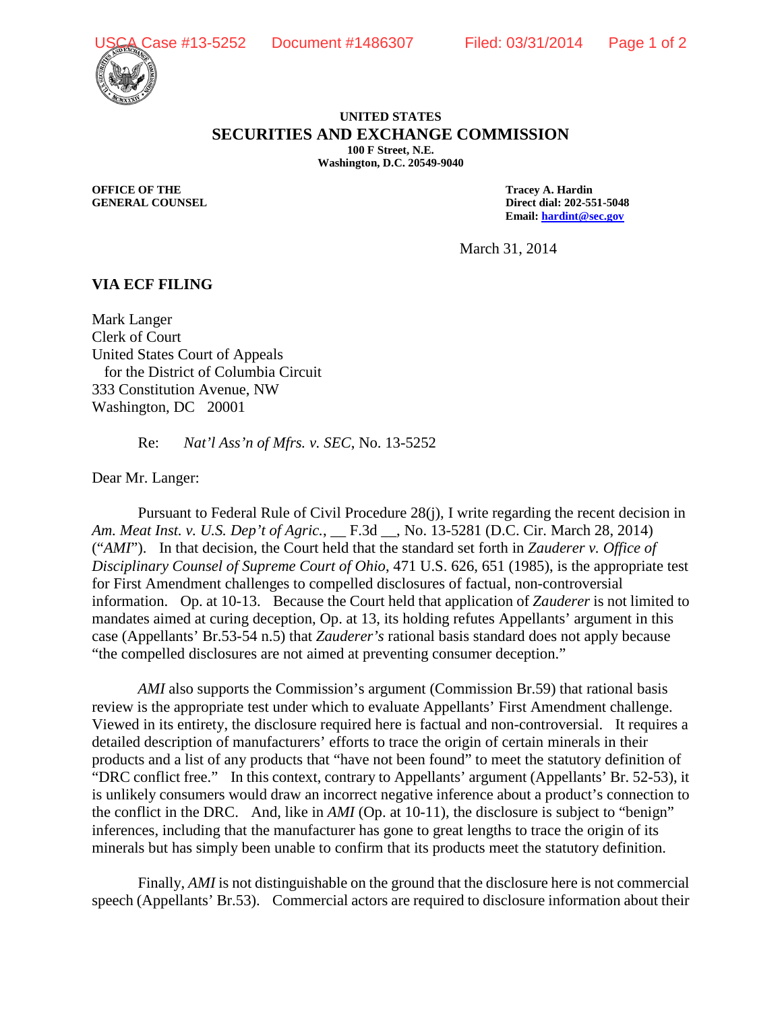



## **UNITED STATES SECURITIES AND EXCHANGE COMMISSION 100 F Street, N.E.**

**Washington, D.C. 20549-9040**

**OFFICE OF THE TRACE OF THE TRACE OF THE TRACE OF THE TRACE OF THE TRACE OF THE TRACE OF THE TRACE OF THE TRACE OF THE TRACE OF THE TRACE OF THE TRACE OF THE TRACE OF THE TRACE OF THE TRACE OF THE TRACE OF THE TRACE OF THE** 

**GENERAL COUNSEL****Direct dial: 202-551-5048 Email: [hardint@sec.gov](mailto:hardint@sec.gov)**

March 31, 2014

## **VIA ECF FILING**

Mark Langer Clerk of Court United States Court of Appeals for the District of Columbia Circuit 333 Constitution Avenue, NW Washington, DC 20001

Re: *Nat'l Ass'n of Mfrs. v. SEC*, No. 13-5252

Dear Mr. Langer:

Pursuant to Federal Rule of Civil Procedure 28(j), I write regarding the recent decision in *Am. Meat Inst. v. U.S. Dep't of Agric.*, \_\_ F.3d \_\_, No. 13-5281 (D.C. Cir. March 28, 2014) ("*AMI*"). In that decision, the Court held that the standard set forth in *Zauderer v. Office of Disciplinary Counsel of Supreme Court of Ohio*, 471 U.S. 626, 651 (1985), is the appropriate test for First Amendment challenges to compelled disclosures of factual, non-controversial information. Op. at 10-13. Because the Court held that application of *Zauderer* is not limited to mandates aimed at curing deception, Op. at 13, its holding refutes Appellants' argument in this case (Appellants' Br.53-54 n.5) that *Zauderer's* rational basis standard does not apply because "the compelled disclosures are not aimed at preventing consumer deception."

*AMI* also supports the Commission's argument (Commission Br.59) that rational basis review is the appropriate test under which to evaluate Appellants' First Amendment challenge. Viewed in its entirety, the disclosure required here is factual and non-controversial. It requires a detailed description of manufacturers' efforts to trace the origin of certain minerals in their products and a list of any products that "have not been found" to meet the statutory definition of "DRC conflict free." In this context, contrary to Appellants' argument (Appellants' Br. 52-53), it is unlikely consumers would draw an incorrect negative inference about a product's connection to the conflict in the DRC. And, like in *AMI* (Op. at 10-11), the disclosure is subject to "benign" inferences, including that the manufacturer has gone to great lengths to trace the origin of its minerals but has simply been unable to confirm that its products meet the statutory definition.

Finally, *AMI* is not distinguishable on the ground that the disclosure here is not commercial speech (Appellants' Br.53). Commercial actors are required to disclosure information about their